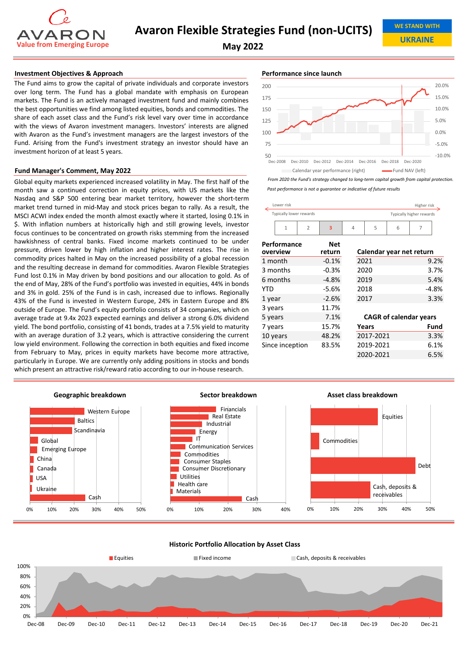

**UKRAINE**

**May 2022**

# **Investment Objectives & Approach Performance since launch Performance since launch**

The Fund aims to grow the capital of private individuals and corporate investors over long term. The Fund has a global mandate with emphasis on European markets. The Fund is an actively managed investment fund and mainly combines the best opportunities we find among listed equities, bonds and commodities. The share of each asset class and the Fund's risk level vary over time in accordance with the views of Avaron investment managers. Investors' interests are aligned with Avaron as the Fund's investment managers are the largest investors of the Fund. Arising from the Fund's investment strategy an investor should have an investment horizon of at least 5 years.

### **Fund Manager's Comment, May 2022**

Global equity markets experienced increased volatility in May. The first half of the month saw a continued correction in equity prices, with US markets like the Nasdaq and S&P 500 entering bear market territory, however the short‐term market trend turned in mid‐May and stock prices began to rally. As a result, the MSCI ACWI index ended the month almost exactly where it started, losing 0.1% in \$. With inflation numbers at historically high and still growing levels, investor focus continues to be concentrated on growth risks stemming from the increased hawkishness of central banks. Fixed income markets continued to be under pressure, driven lower by high inflation and higher interest rates. The rise in commodity prices halted in May on the increased possibility of a global recession and the resulting decrease in demand for commodities. Avaron Flexible Strategies Fund lost 0.1% in May driven by bond positions and our allocation to gold. As of the end of May, 28% of the Fund's portfolio was invested in equities, 44% in bonds and 3% in gold. 25% of the Fund is in cash, increased due to inflows. Regionally 43% of the Fund is invested in Western Europe, 24% in Eastern Europe and 8% outside of Europe. The Fund's equity portfolio consists of 34 companies, which on average trade at 9.4x 2023 expected earnings and deliver a strong 6.0% dividend yield. The bond portfolio, consisting of 41 bonds, trades at a 7.5% yield to maturity with an average duration of 3.2 years, which is attractive considering the current low yield environment. Following the correction in both equities and fixed income from February to May, prices in equity markets have become more attractive, particularly in Europe. We are currently only adding positions in stocks and bonds which present an attractive risk/reward ratio according to our in-house research.



*From 2020 the Fund's strategy changed to long‐term capital growth from capital protection.*

*Past performance is not a guarantee or indicative of future results*

| Lower risk              |                |                          |                               |           |   | Higher risk |         |
|-------------------------|----------------|--------------------------|-------------------------------|-----------|---|-------------|---------|
| Typically lower rewards |                | Typically higher rewards |                               |           |   |             |         |
| $\mathbf{1}$            | $\overline{2}$ | $\overline{\mathbf{3}}$  | 4                             | 5         | 6 | 7           |         |
| Performance<br>overview |                | Net<br>return            | Calendar year net return      |           |   |             |         |
| 1 month                 |                | $-0.1%$                  |                               | 2021      |   |             | 9.2%    |
| 3 months                |                | $-0.3%$                  | 2020                          |           |   |             | 3.7%    |
| 6 months                |                | $-4.8%$                  | 2019                          |           |   |             | 5.4%    |
| YTD                     |                | $-5.6%$                  | 2018                          |           |   |             | $-4.8%$ |
| 1 year                  |                | $-2.6%$                  | 2017                          |           |   |             | 3.3%    |
| 3 years                 |                | 11.7%                    |                               |           |   |             |         |
| 5 years                 |                | 7.1%                     | <b>CAGR of calendar years</b> |           |   |             |         |
| 7 years                 |                | 15.7%                    |                               | Years     |   |             | Fund    |
| 10 years                |                | 48.2%                    | 2017-2021                     |           |   |             | 3.3%    |
| Since inception         |                | 83.5%                    |                               | 2019-2021 |   |             | 6.1%    |
|                         |                |                          |                               | 2020-2021 |   |             | 6.5%    |



## **Historic Portfolio Allocation by Asset Class**